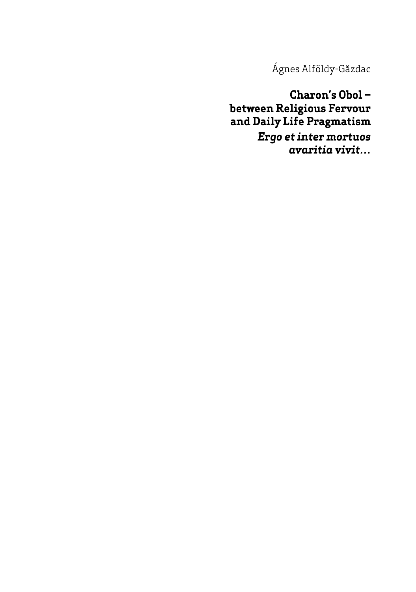Ágnes Alföldy-Găzdac

Charon's Obolbetween Religious Fervour and Daily Life Pragmatism Ergo et inter mortuos avaritia vivit...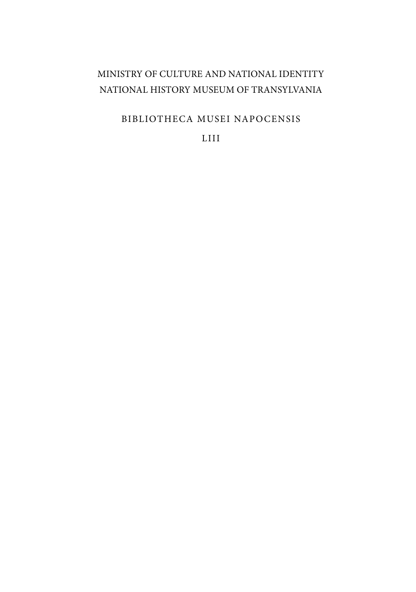## MINISTRY OF CULTURE AND NATIONAL IDENTITY NATIONAL HISTORY MUSEUM OF TRANSYLVANIA

BIBLIOTHECA MUSEI NAPOCENSIS

LIII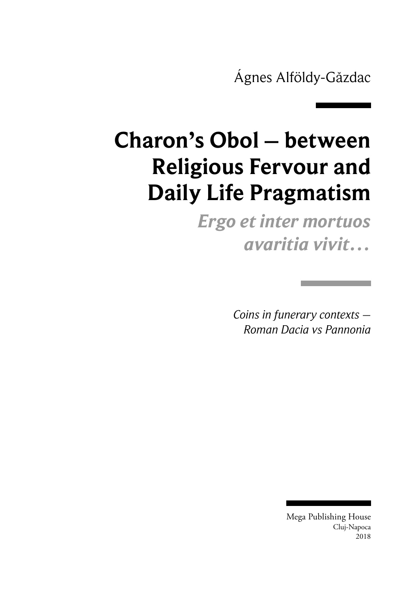Ágnes Alföldy-Găzdac

## **Charon's Obol – between Religious Fervour and Daily Life Pragmatism**

*Ergo et inter mortuos avaritia vivit…*

> *Coins in funerary contexts – Roman Dacia vs Pannonia*

> > Mega Publishing House Cluj‑Napoca 2018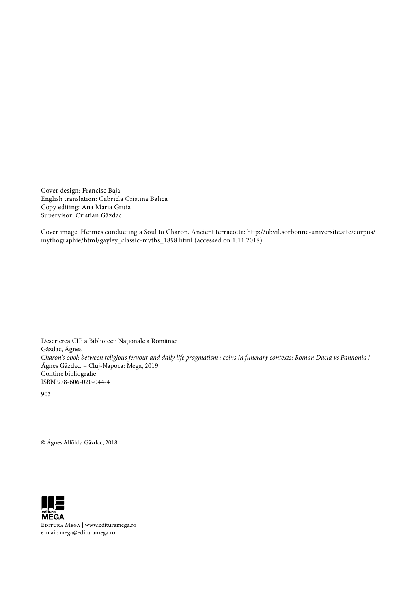Cover design: Francisc Baja English translation: Gabriela Cristina Balica Copy editing: Ana Maria Gruia Supervisor: Cristian Găzdac

Cover image: Hermes conducting a Soul to Charon. Ancient terracotta: http://obvil.sorbonne-universite.site/corpus/ mythographie/html/gayley\_classic-myths\_1898.html (accessed on 1.11.2018)

Descrierea CIP a Bibliotecii Naţionale a României Găzdac, Ágnes *Charon's obol: between religious fervour and daily life pragmatism : coins in funerary contexts: Roman Dacia vs Pannonia* / Ágnes Găzdac. – Cluj-Napoca: Mega, 2019 Conţine bibliografie ISBN 978-606-020-044-4

903

© Ágnes Alföldy-Găzdac, 2018



Editura Mega | www.edituramega.ro e-mail: mega@edituramega.ro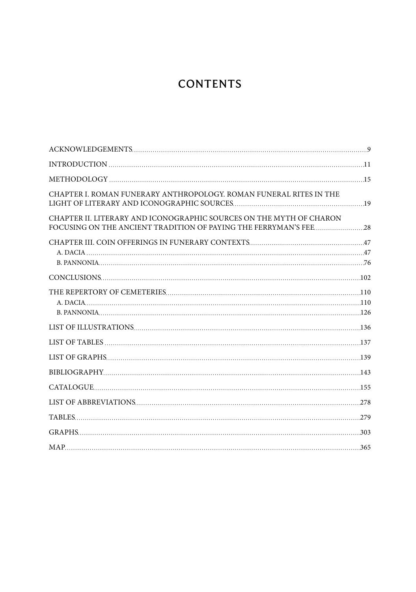## **CONTENTS**

| CHAPTER I. ROMAN FUNERARY ANTHROPOLOGY. ROMAN FUNERAL RITES IN THE  |  |
|---------------------------------------------------------------------|--|
| CHAPTER II. LITERARY AND ICONOGRAPHIC SOURCES ON THE MYTH OF CHARON |  |
|                                                                     |  |
|                                                                     |  |
|                                                                     |  |
|                                                                     |  |
|                                                                     |  |
|                                                                     |  |
|                                                                     |  |
|                                                                     |  |
|                                                                     |  |
|                                                                     |  |
|                                                                     |  |
|                                                                     |  |
|                                                                     |  |
|                                                                     |  |
|                                                                     |  |
|                                                                     |  |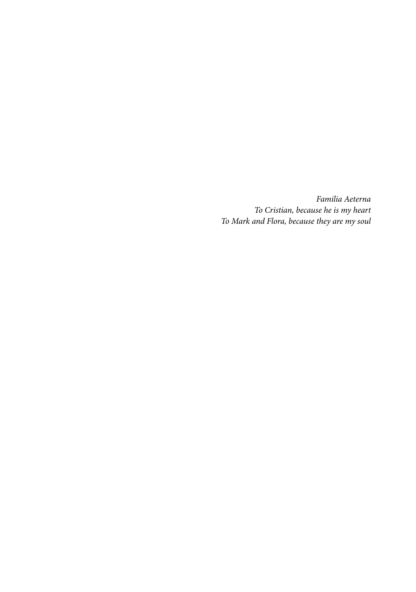*Familia Aeterna To Cristian, because he is my heart To Mark and Flora, because they are my soul*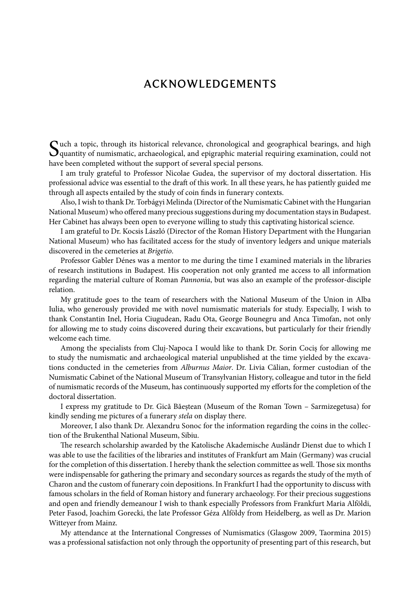## ACKNOWLEDGEMENTS

Such a topic, through its historical relevance, chronological and geographical bearings, and high quantity of numismatic, archaeological, and epigraphic material requiring examination, could not have been completed without the support of several special persons.

I am truly grateful to Professor Nicolae Gudea, the supervisor of my doctoral dissertation. His professional advice was essential to the draft of this work. In all these years, he has patiently guided me through all aspects entailed by the study of coin finds in funerary contexts.

Also, I wish to thank Dr. Torbágyi Melinda (Director of the Numismatic Cabinet with the Hungarian National Museum) who offered many precious suggestions during my documentation stays in Budapest. Her Cabinet has always been open to everyone willing to study this captivating historical science.

I am grateful to Dr. Kocsis László (Director of the Roman History Department with the Hungarian National Museum) who has facilitated access for the study of inventory ledgers and unique materials discovered in the cemeteries at *Brigetio*.

Professor Gabler Dénes was a mentor to me during the time I examined materials in the libraries of research institutions in Budapest. His cooperation not only granted me access to all information regarding the material culture of Roman *Pannonia*, but was also an example of the professor-disciple relation.

My gratitude goes to the team of researchers with the National Museum of the Union in Alba Iulia, who generously provided me with novel numismatic materials for study. Especially, I wish to thank Constantin Inel, Horia Ciugudean, Radu Ota, George Bounegru and Anca Timofan, not only for allowing me to study coins discovered during their excavations, but particularly for their friendly welcome each time.

Among the specialists from Cluj-Napoca I would like to thank Dr. Sorin Cociș for allowing me to study the numismatic and archaeological material unpublished at the time yielded by the excavations conducted in the cemeteries from *Alburnus Maior*. Dr. Livia Călian, former custodian of the Numismatic Cabinet of the National Museum of Transylvanian History, colleague and tutor in the field of numismatic records of the Museum, has continuously supported my efforts for the completion of the doctoral dissertation.

I express my gratitude to Dr. Gică Băeștean (Museum of the Roman Town – Sarmizegetusa) for kindly sending me pictures of a funerary *stela* on display there.

Moreover, I also thank Dr. Alexandru Sonoc for the information regarding the coins in the collection of the Brukenthal National Museum, Sibiu.

The research scholarship awarded by the Katolische Akademische Ausländr Dienst due to which I was able to use the facilities of the libraries and institutes of Frankfurt am Main (Germany) was crucial for the completion of this dissertation. I hereby thank the selection committee as well. Those six months were indispensable for gathering the primary and secondary sources as regards the study of the myth of Charon and the custom of funerary coin depositions. In Frankfurt I had the opportunity to discuss with famous scholars in the field of Roman history and funerary archaeology. For their precious suggestions and open and friendly demeanour I wish to thank especially Professors from Frankfurt Maria Alföldi, Peter Fasod, Joachim Gorecki, the late Professor Géza Alföldy from Heidelberg, as well as Dr. Marion Witteyer from Mainz.

My attendance at the International Congresses of Numismatics (Glasgow 2009, Taormina 2015) was a professional satisfaction not only through the opportunity of presenting part of this research, but